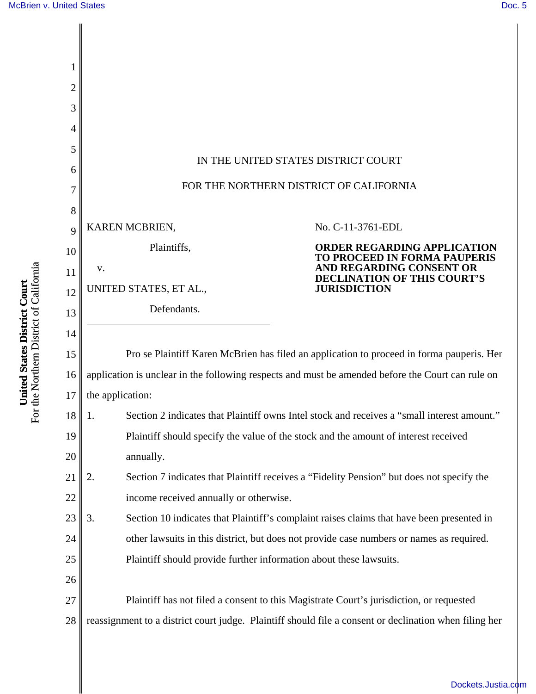| 2<br>3 |                                                                                                        |
|--------|--------------------------------------------------------------------------------------------------------|
| 4      |                                                                                                        |
| 5      |                                                                                                        |
| 6      | IN THE UNITED STATES DISTRICT COURT                                                                    |
| 7      | FOR THE NORTHERN DISTRICT OF CALIFORNIA                                                                |
| 8      |                                                                                                        |
| 9      | KAREN MCBRIEN,<br>No. C-11-3761-EDL                                                                    |
| 10     | Plaintiffs,<br><b>ORDER REGARDING APPLICATION</b><br>TO PROCEED IN FORMA PAUPERIS                      |
| 11     | AND REGARDING CONSENT OR<br>V.<br><b>DECLINATION OF THIS COURT'S</b>                                   |
| 12     | <b>JURISDICTION</b><br>UNITED STATES, ET AL.,                                                          |
| 13     | Defendants.                                                                                            |
| 14     |                                                                                                        |
| 15     | Pro se Plaintiff Karen McBrien has filed an application to proceed in forma pauperis. Her              |
| 16     | application is unclear in the following respects and must be amended before the Court can rule on      |
| 17     | the application:                                                                                       |
| 18     | Section 2 indicates that Plaintiff owns Intel stock and receives a "small interest amount.<br>1.       |
| 19     | Plaintiff should specify the value of the stock and the amount of interest received                    |
| 20     | annually.                                                                                              |
| 21     | 2.<br>Section 7 indicates that Plaintiff receives a "Fidelity Pension" but does not specify the        |
| 22     | income received annually or otherwise.                                                                 |
| 23     | 3.<br>Section 10 indicates that Plaintiff's complaint raises claims that have been presented in        |
| 24     | other lawsuits in this district, but does not provide case numbers or names as required.               |
| 25     | Plaintiff should provide further information about these lawsuits.                                     |
| 26     |                                                                                                        |
| 27     | Plaintiff has not filed a consent to this Magistrate Court's jurisdiction, or requested                |
| 28     | reassignment to a district court judge. Plaintiff should file a consent or declination when filing her |